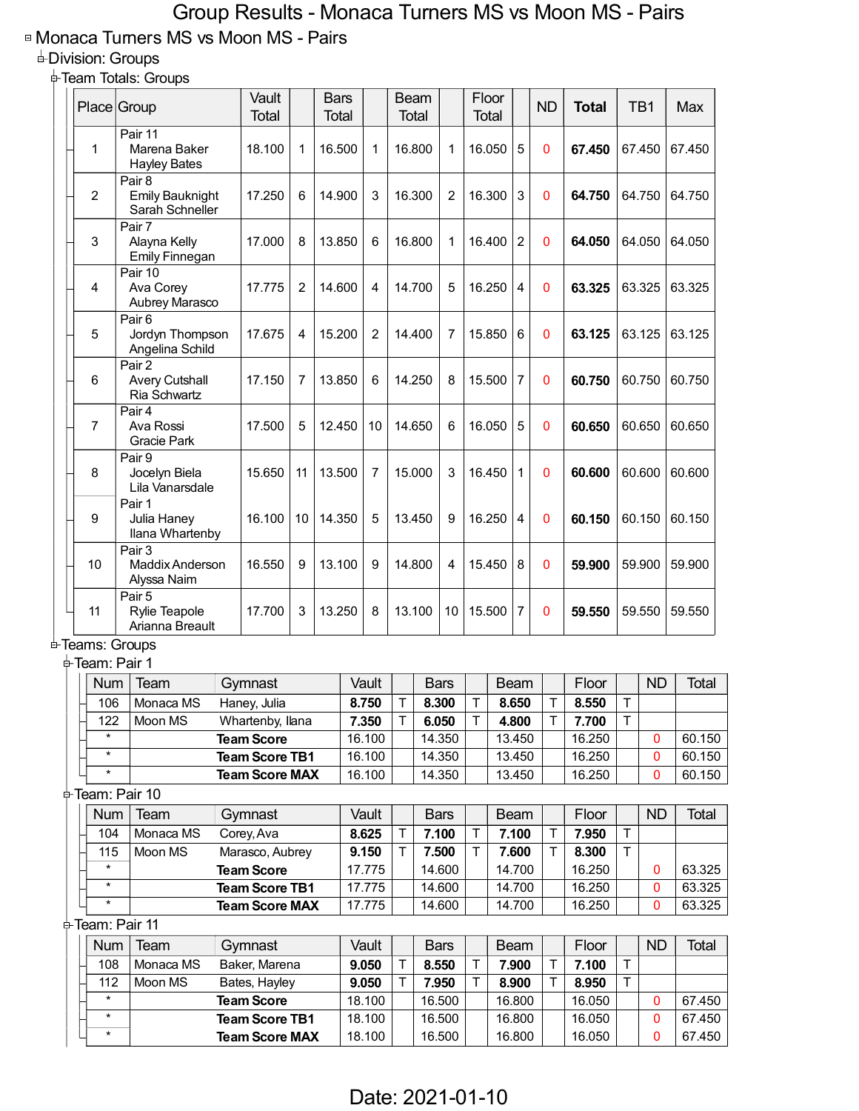## Group Results - Monaca Turners MS vs Moon MS - Pairs

## ■ Monaca Turners MS vs Moon MS - Pairs

## Division: Groups

Team Totals: Groups

|                      | Place Group                                                                           |  | Vault<br><b>Total</b>            |                | <b>Bars</b><br><b>Total</b> |                |        |        | Beam<br><b>Total</b> |                | <b>Total</b>             | Floor                    |                | <b>ND</b>       | <b>Total</b> |             | TB1          | Max    |  |
|----------------------|---------------------------------------------------------------------------------------|--|----------------------------------|----------------|-----------------------------|----------------|--------|--------|----------------------|----------------|--------------------------|--------------------------|----------------|-----------------|--------------|-------------|--------------|--------|--|
| 1                    | Pair 11<br>Marena Baker<br><b>Hayley Bates</b>                                        |  | 18.100                           | 1              | 16.500                      |                | 1      | 16.800 |                      | 1              | 16.050                   |                          | 5              | 0               | 67.450       |             | 67.450       | 67.450 |  |
| $\overline{c}$       | Pair 8<br><b>Emily Bauknight</b><br>Sarah Schneller                                   |  | 17.250                           | 6              | 14.900                      |                | 3      | 16.300 |                      | $\overline{2}$ | 16.300                   |                          | 3              | 0               | 64.750       |             | 64.750       | 64.750 |  |
| 3                    | Pair 7<br>Alayna Kelly<br><b>Emily Finnegan</b>                                       |  | 17.000                           | 8              | 13.850                      |                | 6      | 16.800 |                      | 1              | $\overline{c}$<br>16.400 |                          |                | 0               | 64.050       | 64.050      |              | 64.050 |  |
| 4                    | Pair 10<br>Ava Corey<br>Aubrey Marasco                                                |  | 17.775                           | 2              |                             | 14.600<br>4    |        | 14.700 |                      | 5              |                          | 16.250<br>$\overline{4}$ |                | 0               | 63.325       | 63.325      | 63.325       |        |  |
| 5                    | Pair <sub>6</sub><br>Jordyn Thompson<br>Angelina Schild                               |  | 17.675                           | 4              |                             | 15.200         |        | 14.400 |                      | 7              | 15.850<br>6              |                          |                | 0               | 63.125       | 63.125      |              | 63.125 |  |
| 6                    | Pair 2<br><b>Avery Cutshall</b><br>Ria Schwartz<br>Pair 4<br>Ava Rossi<br>Gracie Park |  | 17.150                           | $\overline{7}$ | 13.850<br>5<br>12.450       |                | 6      | 14.250 |                      | 8              | 15.500                   |                          | $\overline{7}$ | 0               | 60.750       | 60.750      |              | 60.750 |  |
| $\overline{7}$       |                                                                                       |  | 17.500                           |                |                             |                | 10     | 14.650 |                      | 6              | 16.050                   |                          | 5              | $\mathbf{0}$    | 60.650       | 60.650      |              | 60.650 |  |
| 8                    | Pair 9<br>Jocelyn Biela<br>Lila Vanarsdale                                            |  |                                  | 11             | 13.500                      |                | 7      | 15.000 |                      | 3              | 16.450                   |                          | 1              | 0               | 60.600       |             | 60.600       | 60.600 |  |
| 9                    | Pair 1<br>Julia Haney<br>Ilana Whartenby                                              |  | 16.100                           | 10             | 14.350<br>13.100            |                | 5      |        | 13.450               |                | 16.250                   | 4                        |                | 0               | 60.150       | 60.150      |              | 60.150 |  |
| 10                   | Pair 3<br>Maddix Anderson<br>Alyssa Naim                                              |  | 16.550                           | 9              |                             |                | 9      | 14.800 |                      | 4              |                          | 15.450                   | 8              | 0               | 59.900       | 59.900      |              | 59.900 |  |
| 11                   | Pair 5<br>Rylie Teapole<br>Arianna Breault                                            |  | 17.700                           | 3              | 13.250                      |                | 8      |        | 13.100               | 10             | 15.500                   |                          | $\overline{7}$ | 0               | 59.550       | 59.550      |              | 59.550 |  |
|                      | <b>≐ Teams: Groups</b>                                                                |  |                                  |                |                             |                |        |        |                      |                |                          |                          |                |                 |              |             |              |        |  |
| <b>≑Team: Pair 1</b> |                                                                                       |  |                                  |                |                             |                |        |        |                      |                |                          |                          |                |                 |              |             |              |        |  |
| Num                  | Team                                                                                  |  | Gymnast                          |                |                             |                | Vault  |        | <b>Bars</b>          |                |                          | Beam<br>8.650            |                |                 | Floor        |             | <b>ND</b>    | Total  |  |
| 106                  | Monaca MS                                                                             |  | Haney, Julia<br>Whartenby, Ilana |                |                             | 8.750<br>7.350 |        | Т      |                      | 8.300          | Т                        |                          |                | Τ               | 8.550        | T           |              |        |  |
| 122                  | Moon MS                                                                               |  | <b>Team Score</b>                |                |                             | 16.100         | т      |        | 6.050<br>14.350      | Τ              |                          | 4.800<br>13.450          | Τ              | 7.700<br>16.250 | Τ            | 0           | 60.150       |        |  |
| $\star$              |                                                                                       |  | <b>Team Score TB1</b>            |                |                             | 16.100         |        |        | 14.350               |                | 13.450                   |                          |                | 16.250          |              | 0           | 60.150       |        |  |
| $^\star$             |                                                                                       |  | <b>Team Score MAX</b>            |                |                             |                | 16.100 |        |                      | 14.350         |                          |                          | 13.450         |                 | 16.250       |             | 0            | 60.150 |  |
|                      | ≑Team: Pair 10                                                                        |  |                                  |                |                             |                |        |        |                      |                |                          |                          |                |                 |              |             |              |        |  |
| <b>Num</b>           | Team                                                                                  |  | Gymnast                          |                |                             |                | Vault  |        |                      | <b>Bars</b>    |                          |                          | <b>Beam</b>    |                 | Floor        |             | <b>ND</b>    | Total  |  |
| 104                  | Monaca MS                                                                             |  | Corey, Ava                       |                |                             |                | 8.625  | т      |                      | 7.100          | Τ                        |                          | 7.100          | T               | 7.950        | $\mathsf T$ |              |        |  |
| 115                  | Moon MS                                                                               |  | Marasco, Aubrey                  |                |                             |                | 9.150  | Τ      |                      | 7.500          | т                        |                          | 7.600          | T               | 8.300        | T           |              |        |  |
| $\ast$               |                                                                                       |  | <b>Team Score</b>                |                |                             |                | 17.775 |        |                      | 14.600         |                          |                          | 14.700         |                 | 16.250       |             | 0            | 63.325 |  |
| $\star$              |                                                                                       |  | <b>Team Score TB1</b>            |                |                             |                | 17.775 |        |                      | 14.600         |                          |                          | 14.700         |                 | 16.250       |             | $\mathbf 0$  | 63.325 |  |
| $\star$              |                                                                                       |  | <b>Team Score MAX</b>            |                |                             |                | 17.775 |        |                      | 14.600         |                          |                          | 14.700         |                 | 16.250       |             | $\mathbf{0}$ | 63.325 |  |
|                      | ≑Team: Pair 11                                                                        |  |                                  |                |                             |                |        |        |                      |                |                          |                          |                |                 |              |             |              |        |  |
| <b>Num</b>           | Team                                                                                  |  | Gymnast                          |                |                             |                | Vault  |        |                      | <b>Bars</b>    |                          |                          | <b>Beam</b>    |                 | Floor        |             | <b>ND</b>    | Total  |  |
| 108                  | Monaca MS                                                                             |  | Baker, Marena                    |                |                             | 9.050          | Τ      |        | 8.550                | Τ              |                          | 7.900                    | Т              | 7.100           | $\top$       |             |              |        |  |
| 112                  | Moon MS                                                                               |  | Bates, Hayley                    |                |                             | 9.050          | т      |        | 7.950                | т              |                          | 8.900                    | T              | 8.950           | T            |             |              |        |  |
| $\star$              |                                                                                       |  | <b>Team Score</b>                |                |                             |                | 18.100 |        |                      | 16.500         |                          |                          | 16.800         |                 | 16.050       |             | 0            | 67.450 |  |
| $^\star$             |                                                                                       |  | <b>Team Score TB1</b>            |                |                             |                | 18.100 |        |                      | 16.500         |                          |                          | 16.800         |                 | 16.050       |             | 0            | 67.450 |  |
| $\star$              |                                                                                       |  | <b>Team Score MAX</b>            |                |                             |                | 18.100 |        |                      | 16.500         |                          |                          | 16.800         |                 | 16.050       |             | 0            | 67.450 |  |
|                      |                                                                                       |  |                                  |                |                             |                |        |        |                      |                |                          |                          |                |                 |              |             |              |        |  |

Date: 2021-01-10